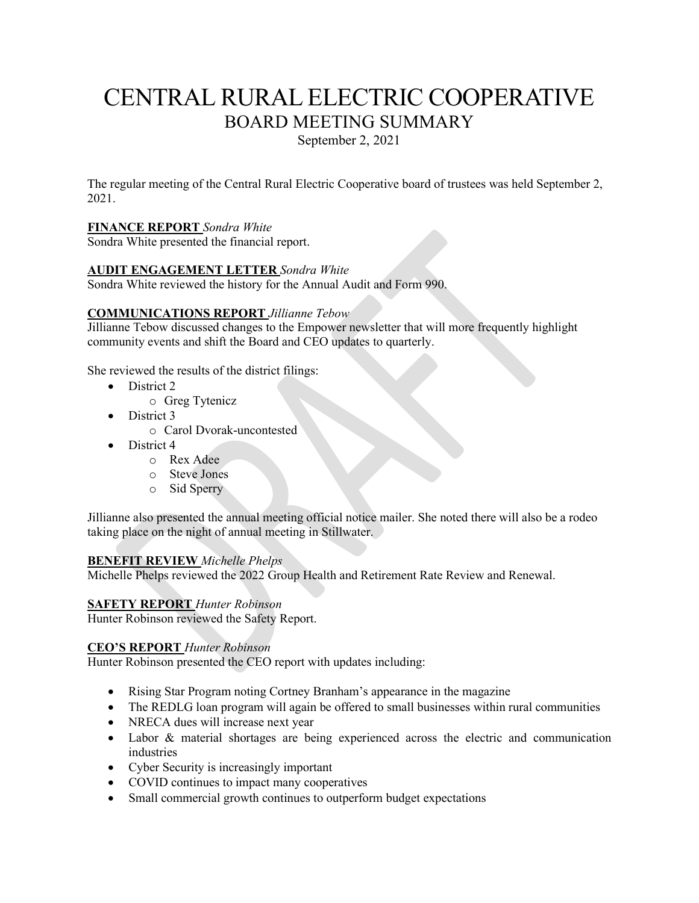# CENTRAL RURAL ELECTRIC COOPERATIVE BOARD MEETING SUMMARY

September 2, 2021

The regular meeting of the Central Rural Electric Cooperative board of trustees was held September 2, 2021.

## **FINANCE REPORT** *Sondra White*

Sondra White presented the financial report.

## **AUDIT ENGAGEMENT LETTER** *Sondra White*

Sondra White reviewed the history for the Annual Audit and Form 990.

## **COMMUNICATIONS REPORT** *Jillianne Tebow*

Jillianne Tebow discussed changes to the Empower newsletter that will more frequently highlight community events and shift the Board and CEO updates to quarterly.

She reviewed the results of the district filings:

- District 2
	- o Greg Tytenicz
- District 3
	- o Carol Dvorak-uncontested
- District 4
	- o Rex Adee
	- o Steve Jones
	- o Sid Sperry

Jillianne also presented the annual meeting official notice mailer. She noted there will also be a rodeo taking place on the night of annual meeting in Stillwater.

#### **BENEFIT REVIEW** *Michelle Phelps*

Michelle Phelps reviewed the 2022 Group Health and Retirement Rate Review and Renewal.

## **SAFETY REPORT** *Hunter Robinson*

Hunter Robinson reviewed the Safety Report.

#### **CEO'S REPORT** *Hunter Robinson*

Hunter Robinson presented the CEO report with updates including:

- Rising Star Program noting Cortney Branham's appearance in the magazine
- The REDLG loan program will again be offered to small businesses within rural communities
- NRECA dues will increase next year
- Labor & material shortages are being experienced across the electric and communication industries
- Cyber Security is increasingly important
- COVID continues to impact many cooperatives
- Small commercial growth continues to outperform budget expectations